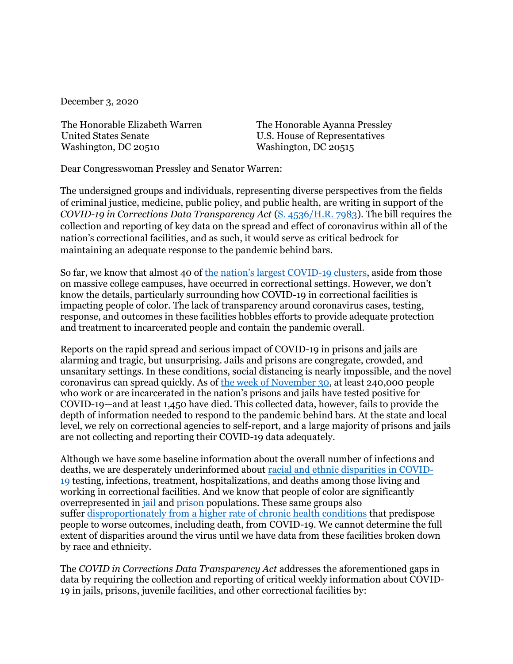December 3, 2020

The Honorable Elizabeth Warren United States Senate Washington, DC 20510

The Honorable Ayanna Pressley U.S. House of Representatives Washington, DC 20515

Dear Congresswoman Pressley and Senator Warren:

The undersigned groups and individuals, representing diverse perspectives from the fields of criminal justice, medicine, public policy, and public health, are writing in support of the *COVID-19 in Corrections Data Transparency Act* [\(S. 4536](https://www.congress.gov/bill/116th-congress/senate-bill/4536?r=1&s=1)[/H.R. 7983\)](https://www.congress.gov/bill/116th-congress/house-bill/7983/text). The bill requires the collection and reporting of key data on the spread and effect of coronavirus within all of the nation's correctional facilities, and as such, it would serve as critical bedrock for maintaining an adequate response to the pandemic behind bars.

So far, we know that almost 40 of [the nation's largest COVID](https://www.nytimes.com/interactive/2020/us/coronavirus-us-cases.html#clusters)-19 clusters, aside from those on massive college campuses, have occurred in correctional settings. However, we don't know the details, particularly surrounding how COVID-19 in correctional facilities is impacting people of color. The lack of transparency around coronavirus cases, testing, response, and outcomes in these facilities hobbles efforts to provide adequate protection and treatment to incarcerated people and contain the pandemic overall.

Reports on the rapid spread and serious impact of COVID-19 in prisons and jails are alarming and tragic, but unsurprising. Jails and prisons are congregate, crowded, and unsanitary settings. In these conditions, social distancing is nearly impossible, and the novel coronavirus can spread quickly. As of [the week of November 30,](https://www.nytimes.com/interactive/2020/us/coronavirus-us-cases.html#clusters) at least 240,000 people who work or are incarcerated in the nation's prisons and jails have tested positive for COVID-19—and at least 1,450 have died. This collected data, however, fails to provide the depth of information needed to respond to the pandemic behind bars. At the state and local level, we rely on correctional agencies to self-report, and a large majority of prisons and jails are not collecting and reporting their COVID-19 data adequately.

Although we have some baseline information about the overall number of infections and deaths, we are desperately underinformed about [racial and ethnic disparities in COVID-](https://www.cdc.gov/coronavirus/2019-ncov/need-extra-precautions/racial-ethnic-minorities.html)[19](https://www.cdc.gov/coronavirus/2019-ncov/need-extra-precautions/racial-ethnic-minorities.html) testing, infections, treatment, hospitalizations, and deaths among those living and working in correctional facilities. And we know that people of color are significantly overrepresented in [jail](https://www.bjs.gov/content/pub/pdf/ji18.pdf) and [prison](https://www.bjs.gov/content/pub/pdf/p17.pdf) populations. These same groups also suffer [disproportionately from a higher rate of](https://www.ncbi.nlm.nih.gov/books/NBK425844/) chronic health conditions that predispose people to worse outcomes, including death, from COVID-19. We cannot determine the full extent of disparities around the virus until we have data from these facilities broken down by race and ethnicity.

The *COVID in Corrections Data Transparency Act* addresses the aforementioned gaps in data by requiring the collection and reporting of critical weekly information about COVID-19 in jails, prisons, juvenile facilities, and other correctional facilities by: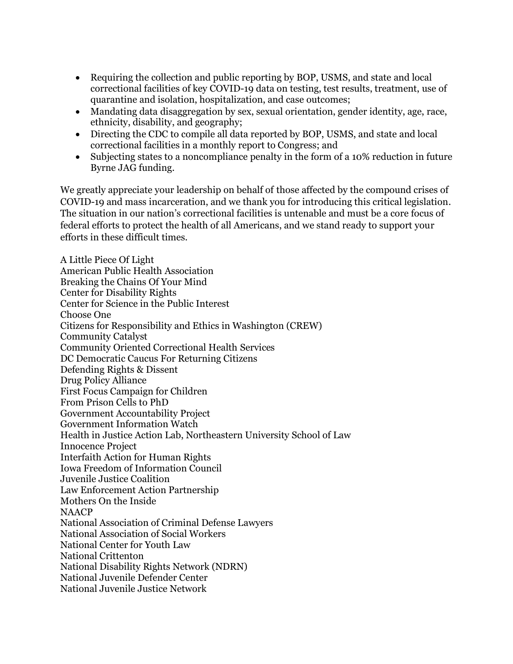- Requiring the collection and public reporting by BOP, USMS, and state and local correctional facilities of key COVID-19 data on testing, test results, treatment, use of quarantine and isolation, hospitalization, and case outcomes;
- Mandating data disaggregation by sex, sexual orientation, gender identity, age, race, ethnicity, disability, and geography;
- Directing the CDC to compile all data reported by BOP, USMS, and state and local correctional facilities in a monthly report to Congress; and
- Subjecting states to a noncompliance penalty in the form of a 10% reduction in future Byrne JAG funding.

We greatly appreciate your leadership on behalf of those affected by the compound crises of COVID-19 and mass incarceration, and we thank you for introducing this critical legislation. The situation in our nation's correctional facilities is untenable and must be a core focus of federal efforts to protect the health of all Americans, and we stand ready to support your efforts in these difficult times.

A Little Piece Of Light American Public Health Association Breaking the Chains Of Your Mind Center for Disability Rights Center for Science in the Public Interest Choose One Citizens for Responsibility and Ethics in Washington (CREW) Community Catalyst Community Oriented Correctional Health Services DC Democratic Caucus For Returning Citizens Defending Rights & Dissent Drug Policy Alliance First Focus Campaign for Children From Prison Cells to PhD Government Accountability Project Government Information Watch Health in Justice Action Lab, Northeastern University School of Law Innocence Project Interfaith Action for Human Rights Iowa Freedom of Information Council Juvenile Justice Coalition Law Enforcement Action Partnership Mothers On the Inside NAACP National Association of Criminal Defense Lawyers National Association of Social Workers National Center for Youth Law National Crittenton National Disability Rights Network (NDRN) National Juvenile Defender Center National Juvenile Justice Network